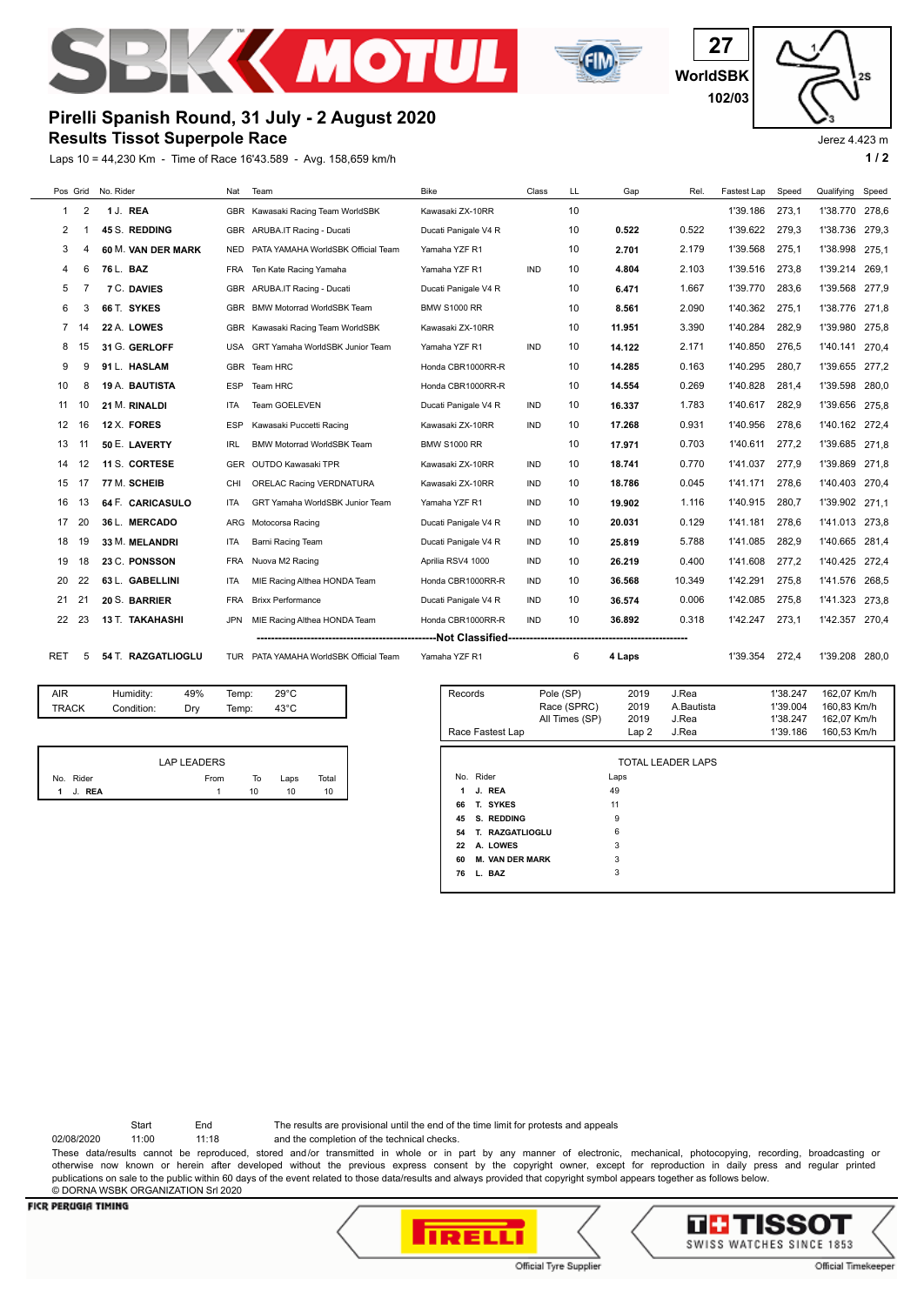



**WorldSBK 27 102/03**

Jerez 4.423 m

25

## **Results Tissot Superpole Race Pirelli Spanish Round, 31 July - 2 August 2020**

Laps 10 = 44,230 Km - Time of Race 16'43.589 - Avg. 158,659 km/h **1 / 2**



AIR Humidity: 49% Temp: 29°C TRACK Condition: Dry Temp: 43°C

|                        | LAP LEADERS |    |      |       |
|------------------------|-------------|----|------|-------|
| No. Rider              | From        | То | Laps | Total |
| J. REA<br>$\mathbf{1}$ |             | 10 | 10   | 10    |

| Records<br>Race Fastest Lap  | Pole (SP)<br>Race (SPRC)<br>All Times (SP) | 2019<br>2019<br>2019<br>Lap2 | J.Rea<br>A.Bautista<br>J.Rea<br>J.Rea | 1'38.247<br>1'39.004<br>1'38.247<br>1'39.186 | 162,07 Km/h<br>160,83 Km/h<br>162.07 Km/h<br>160,53 Km/h |  |
|------------------------------|--------------------------------------------|------------------------------|---------------------------------------|----------------------------------------------|----------------------------------------------------------|--|
|                              |                                            |                              |                                       |                                              |                                                          |  |
| TOTAL LEADER LAPS            |                                            |                              |                                       |                                              |                                                          |  |
| No. Rider                    |                                            | Laps                         |                                       |                                              |                                                          |  |
| J. REA<br>1                  |                                            | 49                           |                                       |                                              |                                                          |  |
| 66<br>T. SYKES               |                                            | 11                           |                                       |                                              |                                                          |  |
| S. REDDING<br>45             |                                            | 9                            |                                       |                                              |                                                          |  |
| T. RAZGATLIOGLU<br>54        |                                            | 6                            |                                       |                                              |                                                          |  |
| A. LOWES<br>22               |                                            | 3                            |                                       |                                              |                                                          |  |
| <b>M. VAN DER MARK</b><br>60 |                                            | 3                            |                                       |                                              |                                                          |  |
| L. BAZ<br>76                 |                                            | 3                            |                                       |                                              |                                                          |  |

Start End The results are provisional until the end of the time limit for protests and appeals

02/08/2020 11:00 11:18 and the completion of the technical checks.

These data/results cannot be reproduced, stored and/or transmitted in whole or in part by any manner of electronic, mechanical, photocopying, recording, broadcasting or

otherwise now known or herein after developed without the previous express consent by the copyright owner, except for reproduction in daily press and regular printed publications on sale to the public within 60 days of the event related to those data/results and always provided that copyright symbol appears together as follows below. © DORNA WSBK ORGANIZATION Srl 2020

## **FICR PERUGIA TIMING**